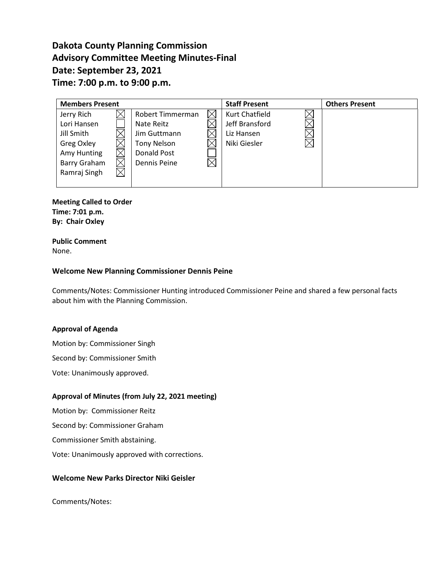# **Dakota County Planning Commission Advisory Committee Meeting Minutes-Final Date: September 23, 2021 Time: 7:00 p.m. to 9:00 p.m.**

| <b>Members Present</b> |             |                    |  | <b>Staff Present</b>  | <b>Others Present</b> |
|------------------------|-------------|--------------------|--|-----------------------|-----------------------|
| Jerry Rich             |             | Robert Timmerman   |  | <b>Kurt Chatfield</b> |                       |
| Lori Hansen            |             | Nate Reitz         |  | Jeff Bransford        |                       |
| Jill Smith             |             | Jim Guttmann       |  | Liz Hansen            |                       |
| Greg Oxley             |             | <b>Tony Nelson</b> |  | Niki Giesler          |                       |
| Amy Hunting            |             | Donald Post        |  |                       |                       |
| Barry Graham           |             | Dennis Peine       |  |                       |                       |
| Ramraj Singh           | $\boxtimes$ |                    |  |                       |                       |
|                        |             |                    |  |                       |                       |

**Meeting Called to Order Time: 7:01 p.m. By: Chair Oxley**

**Public Comment** None.

# **Welcome New Planning Commissioner Dennis Peine**

Comments/Notes: Commissioner Hunting introduced Commissioner Peine and shared a few personal facts about him with the Planning Commission.

# **Approval of Agenda**

Motion by: Commissioner Singh

Second by: Commissioner Smith

Vote: Unanimously approved.

# **Approval of Minutes (from July 22, 2021 meeting)**

Motion by: Commissioner Reitz

Second by: Commissioner Graham

Commissioner Smith abstaining.

Vote: Unanimously approved with corrections.

# **Welcome New Parks Director Niki Geisler**

Comments/Notes: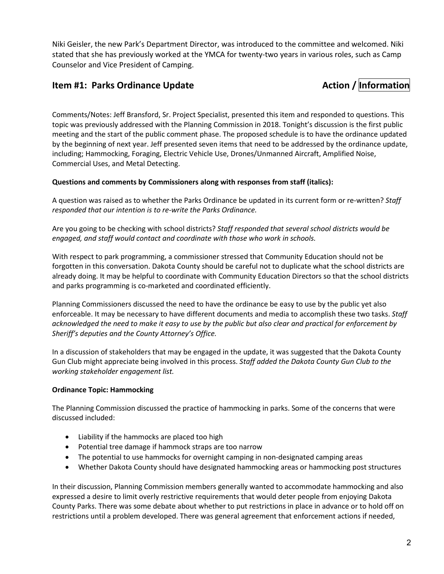Niki Geisler, the new Park's Department Director, was introduced to the committee and welcomed. Niki stated that she has previously worked at the YMCA for twenty-two years in various roles, such as Camp Counselor and Vice President of Camping.

# **Item #1: Parks Ordinance Update Action / Information**

Comments/Notes: Jeff Bransford, Sr. Project Specialist, presented this item and responded to questions. This topic was previously addressed with the Planning Commission in 2018. Tonight's discussion is the first public meeting and the start of the public comment phase. The proposed schedule is to have the ordinance updated by the beginning of next year. Jeff presented seven items that need to be addressed by the ordinance update, including; Hammocking, Foraging, Electric Vehicle Use, Drones/Unmanned Aircraft, Amplified Noise, Commercial Uses, and Metal Detecting.

# **Questions and comments by Commissioners along with responses from staff (italics):**

A question was raised as to whether the Parks Ordinance be updated in its current form or re-written? *Staff responded that our intention is to re-write the Parks Ordinance.*

Are you going to be checking with school districts? *Staff responded that several school districts would be engaged, and staff would contact and coordinate with those who work in schools.*

With respect to park programming, a commissioner stressed that Community Education should not be forgotten in this conversation. Dakota County should be careful not to duplicate what the school districts are already doing. It may be helpful to coordinate with Community Education Directors so that the school districts and parks programming is co-marketed and coordinated efficiently.

Planning Commissioners discussed the need to have the ordinance be easy to use by the public yet also enforceable. It may be necessary to have different documents and media to accomplish these two tasks. *Staff acknowledged the need to make it easy to use by the public but also clear and practical for enforcement by Sheriff's deputies and the County Attorney's Office.*

In a discussion of stakeholders that may be engaged in the update, it was suggested that the Dakota County Gun Club might appreciate being involved in this process. *Staff added the Dakota County Gun Club to the working stakeholder engagement list.*

# **Ordinance Topic: Hammocking**

The Planning Commission discussed the practice of hammocking in parks. Some of the concerns that were discussed included:

- Liability if the hammocks are placed too high
- Potential tree damage if hammock straps are too narrow
- The potential to use hammocks for overnight camping in non-designated camping areas
- Whether Dakota County should have designated hammocking areas or hammocking post structures

In their discussion, Planning Commission members generally wanted to accommodate hammocking and also expressed a desire to limit overly restrictive requirements that would deter people from enjoying Dakota County Parks. There was some debate about whether to put restrictions in place in advance or to hold off on restrictions until a problem developed. There was general agreement that enforcement actions if needed,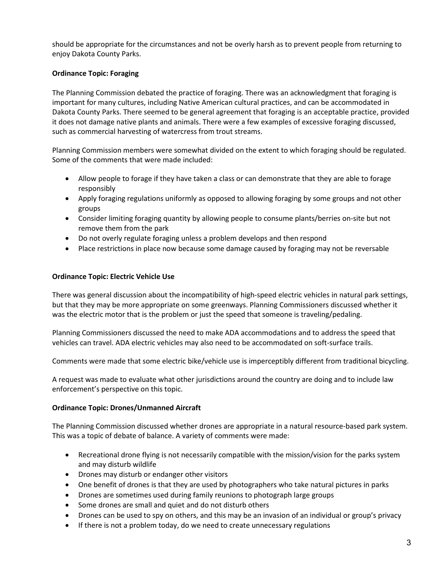should be appropriate for the circumstances and not be overly harsh as to prevent people from returning to enjoy Dakota County Parks.

# **Ordinance Topic: Foraging**

The Planning Commission debated the practice of foraging. There was an acknowledgment that foraging is important for many cultures, including Native American cultural practices, and can be accommodated in Dakota County Parks. There seemed to be general agreement that foraging is an acceptable practice, provided it does not damage native plants and animals. There were a few examples of excessive foraging discussed, such as commercial harvesting of watercress from trout streams.

Planning Commission members were somewhat divided on the extent to which foraging should be regulated. Some of the comments that were made included:

- Allow people to forage if they have taken a class or can demonstrate that they are able to forage responsibly
- Apply foraging regulations uniformly as opposed to allowing foraging by some groups and not other groups
- Consider limiting foraging quantity by allowing people to consume plants/berries on-site but not remove them from the park
- Do not overly regulate foraging unless a problem develops and then respond
- Place restrictions in place now because some damage caused by foraging may not be reversable

# **Ordinance Topic: Electric Vehicle Use**

There was general discussion about the incompatibility of high-speed electric vehicles in natural park settings, but that they may be more appropriate on some greenways. Planning Commissioners discussed whether it was the electric motor that is the problem or just the speed that someone is traveling/pedaling.

Planning Commissioners discussed the need to make ADA accommodations and to address the speed that vehicles can travel. ADA electric vehicles may also need to be accommodated on soft-surface trails.

Comments were made that some electric bike/vehicle use is imperceptibly different from traditional bicycling.

A request was made to evaluate what other jurisdictions around the country are doing and to include law enforcement's perspective on this topic.

# **Ordinance Topic: Drones/Unmanned Aircraft**

The Planning Commission discussed whether drones are appropriate in a natural resource-based park system. This was a topic of debate of balance. A variety of comments were made:

- Recreational drone flying is not necessarily compatible with the mission/vision for the parks system and may disturb wildlife
- Drones may disturb or endanger other visitors
- One benefit of drones is that they are used by photographers who take natural pictures in parks
- Drones are sometimes used during family reunions to photograph large groups
- Some drones are small and quiet and do not disturb others
- Drones can be used to spy on others, and this may be an invasion of an individual or group's privacy
- If there is not a problem today, do we need to create unnecessary regulations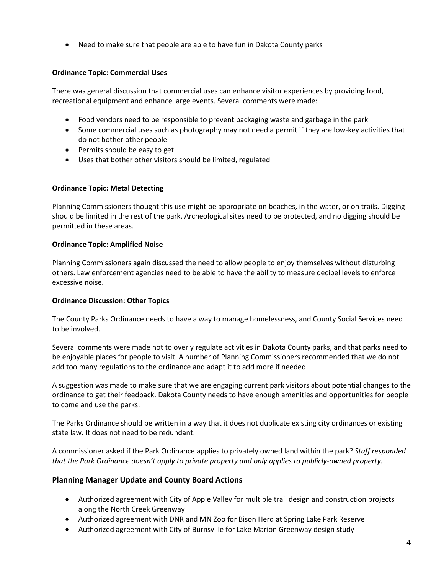• Need to make sure that people are able to have fun in Dakota County parks

# **Ordinance Topic: Commercial Uses**

There was general discussion that commercial uses can enhance visitor experiences by providing food, recreational equipment and enhance large events. Several comments were made:

- Food vendors need to be responsible to prevent packaging waste and garbage in the park
- Some commercial uses such as photography may not need a permit if they are low-key activities that do not bother other people
- Permits should be easy to get
- Uses that bother other visitors should be limited, regulated

# **Ordinance Topic: Metal Detecting**

Planning Commissioners thought this use might be appropriate on beaches, in the water, or on trails. Digging should be limited in the rest of the park. Archeological sites need to be protected, and no digging should be permitted in these areas.

# **Ordinance Topic: Amplified Noise**

Planning Commissioners again discussed the need to allow people to enjoy themselves without disturbing others. Law enforcement agencies need to be able to have the ability to measure decibel levels to enforce excessive noise.

# **Ordinance Discussion: Other Topics**

The County Parks Ordinance needs to have a way to manage homelessness, and County Social Services need to be involved.

Several comments were made not to overly regulate activities in Dakota County parks, and that parks need to be enjoyable places for people to visit. A number of Planning Commissioners recommended that we do not add too many regulations to the ordinance and adapt it to add more if needed.

A suggestion was made to make sure that we are engaging current park visitors about potential changes to the ordinance to get their feedback. Dakota County needs to have enough amenities and opportunities for people to come and use the parks.

The Parks Ordinance should be written in a way that it does not duplicate existing city ordinances or existing state law. It does not need to be redundant.

A commissioner asked if the Park Ordinance applies to privately owned land within the park? *Staff responded that the Park Ordinance doesn't apply to private property and only applies to publicly-owned property.*

# **Planning Manager Update and County Board Actions**

- Authorized agreement with City of Apple Valley for multiple trail design and construction projects along the North Creek Greenway
- Authorized agreement with DNR and MN Zoo for Bison Herd at Spring Lake Park Reserve
- Authorized agreement with City of Burnsville for Lake Marion Greenway design study